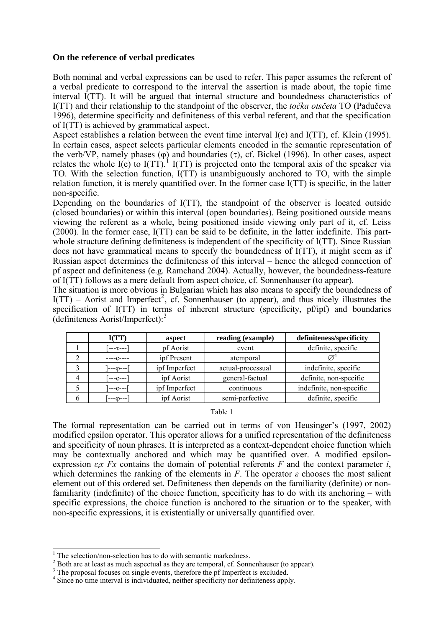## **On the reference of verbal predicates**

Both nominal and verbal expressions can be used to refer. This paper assumes the referent of a verbal predicate to correspond to the interval the assertion is made about, the topic time interval I(TT). It will be argued that internal structure and boundedness characteristics of I(TT) and their relationship to the standpoint of the observer, the *točka otsčeta* TO (Padučeva 1996), determine specificity and definiteness of this verbal referent, and that the specification of I(TT) is achieved by grammatical aspect.

Aspect establishes a relation between the event time interval I(e) and I(TT), cf. Klein (1995). In certain cases, aspect selects particular elements encoded in the semantic representation of the verb/VP, namely phases ( $\varphi$ ) and boundaries (τ), cf. Bickel (1996). In other cases, aspect relates the whole  $I(e)$  to  $I(TT)$ .<sup>[1](#page-0-0)</sup>  $I(TT)$  is projected onto the temporal axis of the speaker via TO. With the selection function, I(TT) is unambiguously anchored to TO, with the simple relation function, it is merely quantified over. In the former case I(TT) is specific, in the latter non-specific.

Depending on the boundaries of I(TT), the standpoint of the observer is located outside (closed boundaries) or within this interval (open boundaries). Being positioned outside means viewing the referent as a whole, being positioned inside viewing only part of it, cf. Leiss (2000). In the former case, I(TT) can be said to be definite, in the latter indefinite. This partwhole structure defining definiteness is independent of the specificity of  $I(TT)$ . Since Russian does not have grammatical means to specify the boundedness of I(TT), it might seem as if Russian aspect determines the definiteness of this interval – hence the alleged connection of pf aspect and definiteness (e.g. Ramchand 2004). Actually, however, the boundedness-feature of I(TT) follows as a mere default from aspect choice, cf. Sonnenhauser (to appear).

The situation is more obvious in Bulgarian which has also means to specify the boundedness of  $I(TT)$  – Aorist and Imperfect<sup>[2](#page-0-1)</sup>, cf. Sonnenhauser (to appear), and thus nicely illustrates the specification of I(TT) in terms of inherent structure (specificity, pf/ipf) and boundaries (definiteness Aorist/Imperfect):[3](#page-0-2)

|   | I(TT)     | aspect        | reading (example) | definiteness/specificity |
|---|-----------|---------------|-------------------|--------------------------|
|   | ן---τ−--] | pf Aorist     | event             | definite, specific       |
|   | $---e---$ | ipf Present   | atemporal         |                          |
|   | ]---տ---[ | ipf Imperfect | actual-processual | indefinite, specific     |
|   | Г---е---1 | ipf Aorist    | general-factual   | definite, non-specific   |
|   | ----e---- | ipf Imperfect | continuous        | indefinite, non-specific |
| b | [---φ---] | ipf Aorist    | semi-perfective   | definite, specific       |

Table 1

The formal representation can be carried out in terms of von Heusinger's (1997, 2002) modified epsilon operator. This operator allows for a unified representation of the definiteness and specificity of noun phrases. It is interpreted as a context-dependent choice function which may be contextually anchored and which may be quantified over. A modified epsilonexpression  $\epsilon$ *<sub>jx</sub>*  $Fx$  contains the domain of potential referents  $F$  and the context parameter *i*, which determines the ranking of the elements in *F*. The operator  $\varepsilon$  chooses the most salient element out of this ordered set. Definiteness then depends on the familiarity (definite) or nonfamiliarity (indefinite) of the choice function, specificity has to do with its anchoring – with specific expressions, the choice function is anchored to the situation or to the speaker, with non-specific expressions, it is existentially or universally quantified over.

<sup>&</sup>lt;sup>1</sup> The selection/non-selection has to do with semantic markedness.

<span id="page-0-1"></span><span id="page-0-0"></span> $^2$  Both are at least as much aspectual as they are temporal, cf. Sonnenhauser (to appear).

<sup>&</sup>lt;sup>3</sup> The proposal focuses on single events, therefore the pf Imperfect is excluded.

<span id="page-0-3"></span><span id="page-0-2"></span><sup>&</sup>lt;sup>4</sup> Since no time interval is individuated, neither specificity nor definiteness apply.